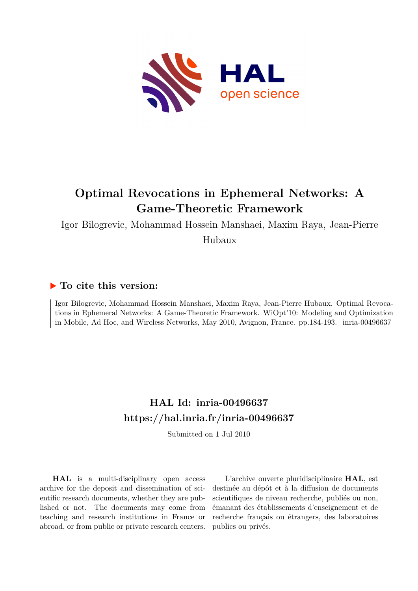

# **Optimal Revocations in Ephemeral Networks: A Game-Theoretic Framework**

Igor Bilogrevic, Mohammad Hossein Manshaei, Maxim Raya, Jean-Pierre

Hubaux

# **To cite this version:**

Igor Bilogrevic, Mohammad Hossein Manshaei, Maxim Raya, Jean-Pierre Hubaux. Optimal Revocations in Ephemeral Networks: A Game-Theoretic Framework. WiOpt'10: Modeling and Optimization in Mobile, Ad Hoc, and Wireless Networks, May 2010, Avignon, France. pp.184-193. inria-00496637

# **HAL Id: inria-00496637 <https://hal.inria.fr/inria-00496637>**

Submitted on 1 Jul 2010

**HAL** is a multi-disciplinary open access archive for the deposit and dissemination of scientific research documents, whether they are published or not. The documents may come from teaching and research institutions in France or abroad, or from public or private research centers.

L'archive ouverte pluridisciplinaire **HAL**, est destinée au dépôt et à la diffusion de documents scientifiques de niveau recherche, publiés ou non, émanant des établissements d'enseignement et de recherche français ou étrangers, des laboratoires publics ou privés.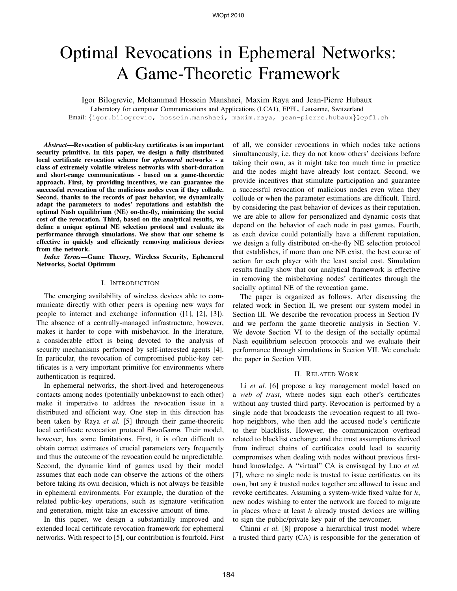# Optimal Revocations in Ephemeral Networks: A Game-Theoretic Framework

Igor Bilogrevic, Mohammad Hossein Manshaei, Maxim Raya and Jean-Pierre Hubaux

Laboratory for computer Communications and Applications (LCA1), EPFL, Lausanne, Switzerland

Email: {igor.bilogrevic, hossein.manshaei, maxim.raya, jean-pierre.hubaux}@epfl.ch

*Abstract*—Revocation of public-key certificates is an important security primitive. In this paper, we design a fully distributed local certificate revocation scheme for *ephemeral* networks - a class of extremely volatile wireless networks with short-duration and short-range communications - based on a game-theoretic approach. First, by providing incentives, we can guarantee the successful revocation of the malicious nodes even if they collude. Second, thanks to the records of past behavior, we dynamically adapt the parameters to nodes' reputations and establish the optimal Nash equilibrium (NE) on-the-fly, minimizing the social cost of the revocation. Third, based on the analytical results, we define a unique optimal NE selection protocol and evaluate its performance through simulations. We show that our scheme is effective in quickly and efficiently removing malicious devices from the network.

*Index Terms*—Game Theory, Wireless Security, Ephemeral Networks, Social Optimum

#### I. INTRODUCTION

The emerging availability of wireless devices able to communicate directly with other peers is opening new ways for people to interact and exchange information ([1], [2], [3]). The absence of a centrally-managed infrastructure, however, makes it harder to cope with misbehavior. In the literature, a considerable effort is being devoted to the analysis of security mechanisms performed by self-interested agents [4]. In particular, the revocation of compromised public-key certificates is a very important primitive for environments where authentication is required.

In ephemeral networks, the short-lived and heterogeneous contacts among nodes (potentially unbeknownst to each other) make it imperative to address the revocation issue in a distributed and efficient way. One step in this direction has been taken by Raya *et al.* [5] through their game-theoretic local certificate revocation protocol RevoGame. Their model, however, has some limitations. First, it is often difficult to obtain correct estimates of crucial parameters very frequently and thus the outcome of the revocation could be unpredictable. Second, the dynamic kind of games used by their model assumes that each node can observe the actions of the others before taking its own decision, which is not always be feasible in ephemeral environments. For example, the duration of the related public-key operations, such as signature verification and generation, might take an excessive amount of time.

In this paper, we design a substantially improved and extended local certificate revocation framework for ephemeral networks. With respect to [5], our contribution is fourfold. First of all, we consider revocations in which nodes take actions simultaneously, i.e. they do not know others' decisions before taking their own, as it might take too much time in practice and the nodes might have already lost contact. Second, we provide incentives that stimulate participation and guarantee a successful revocation of malicious nodes even when they collude or when the parameter estimations are difficult. Third, by considering the past behavior of devices as their reputation, we are able to allow for personalized and dynamic costs that depend on the behavior of each node in past games. Fourth, as each device could potentially have a different reputation, we design a fully distributed on-the-fly NE selection protocol that establishes, if more than one NE exist, the best course of action for each player with the least social cost. Simulation results finally show that our analytical framework is effective in removing the misbehaving nodes' certificates through the socially optimal NE of the revocation game.

The paper is organized as follows. After discussing the related work in Section II, we present our system model in Section III. We describe the revocation process in Section IV and we perform the game theoretic analysis in Section V. We devote Section VI to the design of the socially optimal Nash equilibrium selection protocols and we evaluate their performance through simulations in Section VII. We conclude the paper in Section VIII.

#### II. RELATED WORK

Li *et al.* [6] propose a key management model based on a *web of trust*, where nodes sign each other's certificates without any trusted third party. Revocation is performed by a single node that broadcasts the revocation request to all twohop neighbors, who then add the accused node's certificate to their blacklists. However, the communication overhead related to blacklist exchange and the trust assumptions derived from indirect chains of certificates could lead to security compromises when dealing with nodes without previous firsthand knowledge. A "virtual" CA is envisaged by Luo *et al.* [7], where no single node is trusted to issue certificates on its own, but any k trusted nodes together are allowed to issue and revoke certificates. Assuming a system-wide fixed value for k, new nodes wishing to enter the network are forced to migrate in places where at least  $k$  already trusted devices are willing to sign the public/private key pair of the newcomer.

Chinni *et al.* [8] propose a hierarchical trust model where a trusted third party (CA) is responsible for the generation of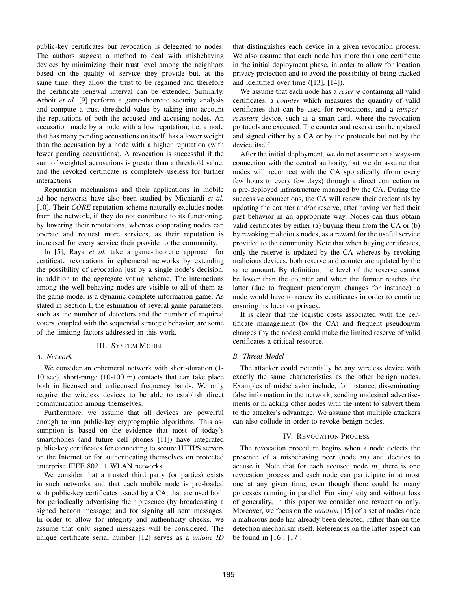public-key certificates but revocation is delegated to nodes. The authors suggest a method to deal with misbehaving devices by minimizing their trust level among the neighbors based on the quality of service they provide but, at the same time, they allow the trust to be regained and therefore the certificate renewal interval can be extended. Similarly, Arboit *et al.* [9] perform a game-theoretic security analysis and compute a trust threshold value by taking into account the reputations of both the accused and accusing nodes. An accusation made by a node with a low reputation, i.e. a node that has many pending accusations on itself, has a lower weight than the accusation by a node with a higher reputation (with fewer pending accusations). A revocation is successful if the sum of weighted accusations is greater than a threshold value, and the revoked certificate is completely useless for further interactions.

Reputation mechanisms and their applications in mobile ad hoc networks have also been studied by Michiardi *et al.* [10]. Their *CORE* reputation scheme naturally excludes nodes from the network, if they do not contribute to its functioning, by lowering their reputations, whereas cooperating nodes can operate and request more services, as their reputation is increased for every service their provide to the community.

In [5], Raya *et al.* take a game-theoretic approach for certificate revocations in ephemeral networks by extending the possibility of revocation just by a single node's decision, in addition to the aggregate voting scheme. The interactions among the well-behaving nodes are visible to all of them as the game model is a dynamic complete information game. As stated in Section I, the estimation of several game parameters, such as the number of detectors and the number of required voters, coupled with the sequential strategic behavior, are some of the limiting factors addressed in this work.

#### III. SYSTEM MODEL

## *A. Network*

We consider an ephemeral network with short-duration (1- 10 sec), short-range (10-100 m) contacts that can take place both in licensed and unlicensed frequency bands. We only require the wireless devices to be able to establish direct communication among themselves.

Furthermore, we assume that all devices are powerful enough to run public-key cryptographic algorithms. This assumption is based on the evidence that most of today's smartphones (and future cell phones [11]) have integrated public-key certificates for connecting to secure HTTPS servers on the Internet or for authenticating themselves on protected enterprise IEEE 802.11 WLAN networks.

We consider that a trusted third party (or parties) exists in such networks and that each mobile node is pre-loaded with public-key certificates issued by a CA, that are used both for periodically advertising their presence (by broadcasting a signed beacon message) and for signing all sent messages. In order to allow for integrity and authenticity checks, we assume that only signed messages will be considered. The unique certificate serial number [12] serves as a *unique ID* that distinguishes each device in a given revocation process. We also assume that each node has more than one certificate in the initial deployment phase, in order to allow for location privacy protection and to avoid the possibility of being tracked and identified over time ([13], [14]).

We assume that each node has a *reserve* containing all valid certificates, a *counter* which measures the quantity of valid certificates that can be used for revocations, and a *tamperresistant* device, such as a smart-card, where the revocation protocols are executed. The counter and reserve can be updated and signed either by a CA or by the protocols but not by the device itself.

After the initial deployment, we do not assume an always-on connection with the central authority, but we do assume that nodes will reconnect with the CA sporadically (from every few hours to every few days) through a direct connection or a pre-deployed infrastructure managed by the CA. During the successive connections, the CA will renew their credentials by updating the counter and/or reserve, after having verified their past behavior in an appropriate way. Nodes can thus obtain valid certificates by either (a) buying them from the CA or (b) by revoking malicious nodes, as a reward for the useful service provided to the community. Note that when buying certificates, only the reserve is updated by the CA whereas by revoking malicious devices, both reserve and counter are updated by the same amount. By definition, the level of the reserve cannot be lower than the counter and when the former reaches the latter (due to frequent pseudonym changes for instance), a node would have to renew its certificates in order to continue ensuring its location privacy.

It is clear that the logistic costs associated with the certificate management (by the CA) and frequent pseudonym changes (by the nodes) could make the limited reserve of valid certificates a critical resource.

#### *B. Threat Model*

The attacker could potentially be any wireless device with exactly the same characteristics as the other benign nodes. Examples of misbehavior include, for instance, disseminating false information in the network, sending undesired advertisements or hijacking other nodes with the intent to subvert them to the attacker's advantage. We assume that multiple attackers can also collude in order to revoke benign nodes.

#### IV. REVOCATION PROCESS

The revocation procedure begins when a node detects the presence of a misbehaving peer (node m) and decides to accuse it. Note that for each accused node  $m$ , there is one revocation process and each node can participate in at most one at any given time, even though there could be many processes running in parallel. For simplicity and without loss of generality, in this paper we consider one revocation only. Moreover, we focus on the *reaction* [15] of a set of nodes once a malicious node has already been detected, rather than on the detection mechanism itself. References on the latter aspect can be found in [16], [17].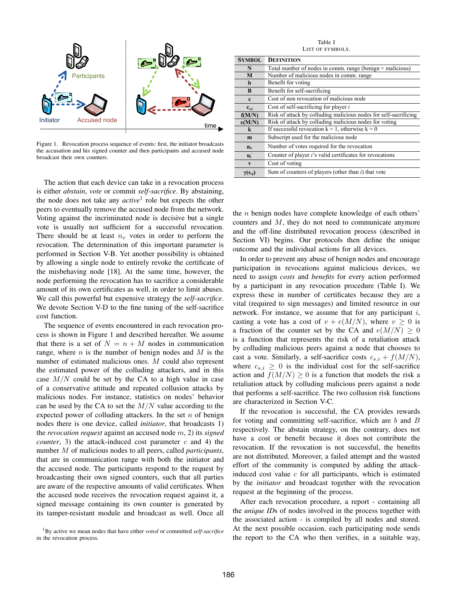

Figure 1. Revocation process sequence of events: first, the initiator broadcasts the accusation and his signed counter and then participants and accused node broadcast their own counters.

The action that each device can take in a revocation process is either *abstain*, *vote* or commit *self-sacrifice*. By abstaining, the node does not take any *active*<sup>1</sup> role but expects the other peers to eventually remove the accused node from the network. Voting against the incriminated node is decisive but a single vote is usually not sufficient for a successful revocation. There should be at least  $n_v$  votes in order to perform the revocation. The determination of this important parameter is performed in Section V-B. Yet another possibility is obtained by allowing a single node to entirely revoke the certificate of the misbehaving node [18]. At the same time, however, the node performing the revocation has to sacrifice a considerable amount of its own certificates as well, in order to limit abuses. We call this powerful but expensive strategy the *self-sacrifice*. We devote Section V-D to the fine tuning of the self-sacrifice cost function.

The sequence of events encountered in each revocation process is shown in Figure 1 and described hereafter. We assume that there is a set of  $N = n + M$  nodes in communication range, where  $n$  is the number of benign nodes and  $M$  is the number of estimated malicious ones. M could also represent the estimated power of the colluding attackers, and in this case  $M/N$  could be set by the CA to a high value in case of a conservative attitude and repeated collusion attacks by malicious nodes. For instance, statistics on nodes' behavior can be used by the CA to set the  $M/N$  value according to the expected power of colluding attackers. In the set  $n$  of benign nodes there is one device, called *initiator*, that broadcasts 1) the *revocation request* against an accused node m, 2) its *signed counter*, 3) the attack-induced cost parameter  $c$  and 4) the number M of malicious nodes to all peers, called *participants*, that are in communication range with both the initiator and the accused node. The participants respond to the request by broadcasting their own signed counters, such that all parties are aware of the respective amounts of valid certificates. When the accused node receives the revocation request against it, a signed message containing its own counter is generated by its tamper-resistant module and broadcast as well. Once all

Table I LIST OF SYMBOLS.

| <b>SYMBOL</b>    | <b>DEFINITION</b>                                                |  |
|------------------|------------------------------------------------------------------|--|
| N                | Total number of nodes in comm. range (benign + malicious)        |  |
| M                | Number of malicious nodes in comm. range                         |  |
| b                | Benefit for voting                                               |  |
| B                | Benefit for self-sacrificing                                     |  |
| $\mathbf c$      | Cost of non revocation of malicious node                         |  |
| $c_{s,i}$        | Cost of self-sacrificing for player $i$                          |  |
| f(M/N)           | Risk of attack by colluding malicious nodes for self-sacrificing |  |
| e(M/N)           | Risk of attack by colluding malicious nodes for voting           |  |
| k                | If successful revocation $k = 1$ , otherwise $k = 0$             |  |
| m                | Subscript used for the malicious node                            |  |
| $n_{\rm v}$      | Number of votes required for the revocation                      |  |
| $\mathbf{u_i}$   | Counter of player <i>i</i> 's valid certificates for revocations |  |
| $\mathbf{V}$     | Cost of voting                                                   |  |
| $\gamma(s_{-i})$ | Sum of counters of players (other than $i$ ) that vote           |  |

the  $n$  benign nodes have complete knowledge of each others' counters and M, they do not need to communicate anymore and the off-line distributed revocation process (described in Section VI) begins. Our protocols then define the unique outcome and the individual actions for all devices.

In order to prevent any abuse of benign nodes and encourage participation in revocations against malicious devices, we need to assign *costs* and *benefits* for every action performed by a participant in any revocation procedure (Table I). We express these in number of certificates because they are a vital (required to sign messages) and limited resource in our network. For instance, we assume that for any participant  $i$ , casting a vote has a cost of  $v + e(M/N)$ , where  $v \ge 0$  is a fraction of the counter set by the CA and  $e(M/N) \geq 0$ is a function that represents the risk of a retaliation attack by colluding malicious peers against a node that chooses to cast a vote. Similarly, a self-sacrifice costs  $c_{s,i} + f(M/N)$ , where  $c_{s,i} \geq 0$  is the individual cost for the self-sacrifice action and  $f(M/N) \geq 0$  is a function that models the risk a retaliation attack by colluding malicious peers against a node that performs a self-sacrifice. The two collusion risk functions are characterized in Section V-C.

If the revocation is successful, the CA provides rewards for voting and committing self-sacrifice, which are  $b$  and  $B$ respectively. The abstain strategy, on the contrary, does not have a cost or benefit because it does not contribute the revocation. If the revocation is not successful, the benefits are not distributed. Moreover, a failed attempt and the wasted effort of the community is computed by adding the attackinduced cost value  $c$  for all participants, which is estimated by the *initiator* and broadcast together with the revocation request at the beginning of the process.

After each revocation procedure, a report - containing all the *unique ID*s of nodes involved in the process together with the associated action - is compiled by all nodes and stored. At the next possible occasion, each participating node sends the report to the CA who then verifies, in a suitable way,

<sup>1</sup>By active we mean nodes that have either *voted* or committed *self-sacrifice* in the revocation process.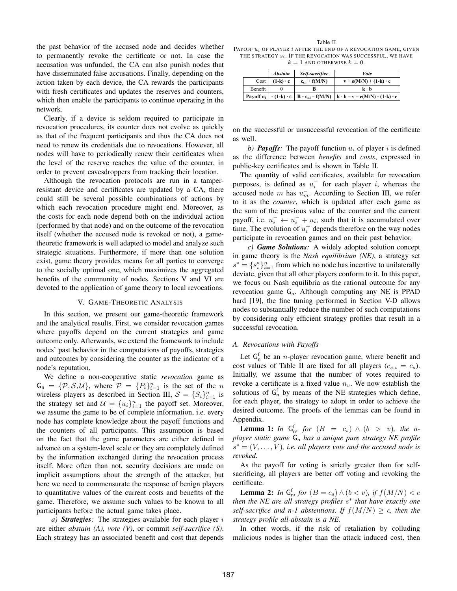the past behavior of the accused node and decides whether to permanently revoke the certificate or not. In case the accusation was unfunded, the CA can also punish nodes that have disseminated false accusations. Finally, depending on the action taken by each device, the CA rewards the participants with fresh certificates and updates the reserves and counters, which then enable the participants to continue operating in the network.

Clearly, if a device is seldom required to participate in revocation procedures, its counter does not evolve as quickly as that of the frequent participants and thus the CA does not need to renew its credentials due to revocations. However, all nodes will have to periodically renew their certificates when the level of the reserve reaches the value of the counter, in order to prevent eavesdroppers from tracking their location.

Although the revocation protocols are run in a tamperresistant device and certificates are updated by a CA, there could still be several possible combinations of actions by which each revocation procedure might end. Moreover, as the costs for each node depend both on the individual action (performed by that node) and on the outcome of the revocation itself (whether the accused node is revoked or not), a gametheoretic framework is well adapted to model and analyze such strategic situations. Furthermore, if more than one solution exist, game theory provides means for all parties to converge to the socially optimal one, which maximizes the aggregated benefits of the community of nodes. Sections V and VI are devoted to the application of game theory to local revocations.

#### V. GAME-THEORETIC ANALYSIS

In this section, we present our game-theoretic framework and the analytical results. First, we consider revocation games where payoffs depend on the current strategies and game outcome only. Afterwards, we extend the framework to include nodes' past behavior in the computations of payoffs, strategies and outcomes by considering the counter as the indicator of a node's reputation.

We define a non-cooperative static *revocation* game as  $G_n = \{P, S, U\}$ , where  $P = \{P_i\}_{i=1}^n$  is the set of the n wireless players as described in Section III,  $S = \{S_i\}_{i=1}^n$  is the strategy set and  $\mathcal{U} = \{u_i\}_{i=1}^n$  the payoff set. Moreover, we assume the game to be of complete information, i.e. every node has complete knowledge about the payoff functions and the counters of all participants. This assumption is based on the fact that the game parameters are either defined in advance on a system-level scale or they are completely defined by the information exchanged during the revocation process itself. More often than not, security decisions are made on implicit assumptions about the strength of the attacker, but here we need to commensurate the response of benign players to quantitative values of the current costs and benefits of the game. Therefore, we assume such values to be known to all participants before the actual game takes place.

*a) Strategies:* The strategies available for each player i are either *abstain (A), vote (V)*, or commit *self-sacrifice (S)*. Each strategy has an associated benefit and cost that depends

Table II PAYOFF  $u_i$  OF PLAYER  $i$  AFTER THE END OF A REVOCATION GAME, GIVEN THE STRATEGY  $s_i$ . IF THE REVOCATION WAS SUCCESSFUL, WE HAVE  $k = 1$  and otherwise  $k = 0$ .

|                       | <b>Abstain</b> | Self-sacrifice     | <i>Vote</i>                                                                        |
|-----------------------|----------------|--------------------|------------------------------------------------------------------------------------|
| Cost                  | $(1-k)\cdot c$ | $c_{s,i}$ + f(M/N) | $v + e(M/N) + (1-k) \cdot c$                                                       |
| Benefit               |                |                    | $\mathbf{k} \cdot \mathbf{h}$                                                      |
| Payoff u <sub>i</sub> |                |                    | $  -(1-k) \cdot c   B - c_{s,i} - f(M/N)   k \cdot b - v - e(M/N) - (1-k) \cdot c$ |

on the successful or unsuccessful revocation of the certificate as well.

*b) Payoffs*: The payoff function  $u_i$  of player i is defined as the difference between *benefits* and *costs*, expressed in public-key certificates and is shown in Table II.

The quantity of valid certificates, available for revocation purposes, is defined as  $u_i^-$  for each player i, whereas the accused node m has  $u_m^-$ . According to Section III, we refer to it as the *counter*, which is updated after each game as the sum of the previous value of the counter and the current payoff, i.e.  $u_i^- \leftarrow u_i^- + u_i$ , such that it is accumulated over time. The evolution of  $u_i^-$  depends therefore on the way nodes participate in revocation games and on their past behavior.

*c) Game Solutions:* A widely adopted solution concept in game theory is the *Nash equilibrium (NE)*, a strategy set  $s^* = \{s_i^*\}_{i=1}^n$  from which no node has incentive to unilaterally deviate, given that all other players conform to it. In this paper, we focus on Nash equilibria as the rational outcome for any revocation game  $G_n$ . Although computing any NE is PPAD hard [19], the fine tuning performed in Section V-D allows nodes to substantially reduce the number of such computations by considering only efficient strategy profiles that result in a successful revocation.

#### *A. Revocations with Payoffs*

Let  $G_n^f$  be an *n*-player revocation game, where benefit and cost values of Table II are fixed for all players  $(c_{s,i} = c_s)$ . Initially, we assume that the number of votes required to revoke a certificate is a fixed value  $n_v$ . We now establish the solutions of  $G_n^f$  by means of the NE strategies which define, for each player, the strategy to adopt in order to achieve the desired outcome. The proofs of the lemmas can be found in Appendix.

**Lemma 1:** *In*  $G_n^f$ , *for*  $(B = c_s) \wedge (b > v)$ , *the nplayer static game* G<sup>n</sup> *has a unique pure strategy NE profile*  $s^* = (V, \ldots, V)$ , *i.e. all players vote and the accused node is revoked.*

As the payoff for voting is strictly greater than for selfsacrificing, all players are better off voting and revoking the certificate.

**Lemma 2:** *In*  $G_n^f$ , *for*  $(B = c_s) \wedge (b < v)$ , *if*  $f(M/N) < c$ *then the NE are all strategy profiles* s ∗ *that have exactly one self-sacrifice and n-1 abstentions. If*  $f(M/N) \geq c$ , then the *strategy profile all-abstain is a NE.*

In other words, if the risk of retaliation by colluding malicious nodes is higher than the attack induced cost, then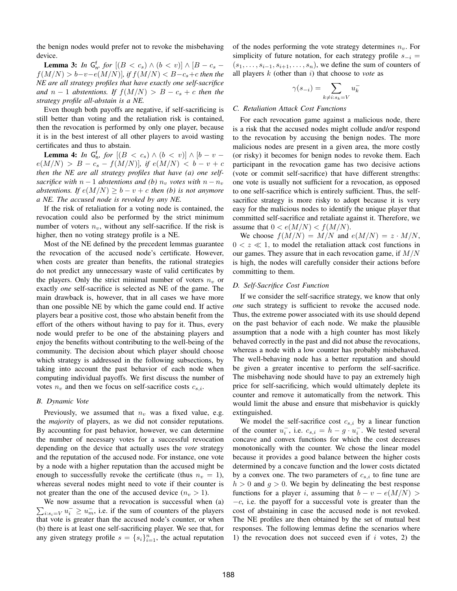the benign nodes would prefer not to revoke the misbehaving device.

**Lemma 3:** *In*  $G_n^f$ , *for*  $[(B < c_s) \wedge (b < v)] \wedge [B - c_s f(M/N) > b-v-e(M/N)$ *, if*  $f(M/N) < B-c<sub>s</sub>+c$  *then the NE are all strategy profiles that have exactly one self-sacrifice and*  $n-1$  *abstentions.* If  $f(M/N) > B - c_s + c$  *then the strategy profile all-abstain is a NE.*

Even though both payoffs are negative, if self-sacrificing is still better than voting and the retaliation risk is contained, then the revocation is performed by only one player, because it is in the best interest of all other players to avoid wasting certificates and thus to abstain.

**Lemma 4:** *In*  $G_n^f$ , *for*  $[(B < c_s) \wedge (b < v)] \wedge [b - v e(M/N) > B - c_s - f(M/N)$ *, if*  $e(M/N) < b - v + c$ *then the NE are all strategy profiles that have (a) one selfsacrifice with*  $n - 1$  *abstentions and (b)*  $n_v$  *votes with*  $n - n_v$ *abstentions. If*  $e(M/N) \ge b - v + c$  *then (b) is not anymore a NE. The accused node is revoked by any NE.*

If the risk of retaliation for a voting node is contained, the revocation could also be performed by the strict minimum number of voters  $n_v$ , without any self-sacrifice. If the risk is higher, then no voting strategy profile is a NE.

Most of the NE defined by the precedent lemmas guarantee the revocation of the accused node's certificate. However, when costs are greater than benefits, the rational strategies do not predict any unnecessary waste of valid certificates by the players. Only the strict minimal number of voters  $n<sub>v</sub>$  or exactly *one* self-sacrifice is selected as NE of the game. The main drawback is, however, that in all cases we have more than one possible NE by which the game could end. If active players bear a positive cost, those who abstain benefit from the effort of the others without having to pay for it. Thus, every node would prefer to be one of the abstaining players and enjoy the benefits without contributing to the well-being of the community. The decision about which player should choose which strategy is addressed in the following subsections, by taking into account the past behavior of each node when computing individual payoffs. We first discuss the number of votes  $n_v$  and then we focus on self-sacrifice costs  $c_{s,i}$ .

#### *B. Dynamic Vote*

Previously, we assumed that  $n_v$  was a fixed value, e.g. the *majority* of players, as we did not consider reputations. By accounting for past behavior, however, we can determine the number of necessary votes for a successful revocation depending on the device that actually uses the *vote* strategy and the reputation of the accused node. For instance, one vote by a node with a higher reputation than the accused might be enough to successfully revoke the certificate (thus  $n_v = 1$ ), whereas several nodes might need to vote if their counter is not greater than the one of the accused device  $(n_v > 1)$ .

 $\sum_{i:s_i=V} u_i^- \ge u_m^-$ , i.e. if the sum of counters of the players We now assume that a revocation is successful when (a) that vote is greater than the accused node's counter, or when (b) there is at least one self-sacrificing player. We see that, for any given strategy profile  $s = \{s_i\}_{i=1}^n$ , the actual reputation of the nodes performing the vote strategy determines  $n_v$ . For simplicity of future notation, for each strategy profile  $s_{-i}$  =  $(s_1, \ldots, s_{i-1}, s_{i+1}, \ldots, s_n)$ , we define the sum of counters of all players  $k$  (other than  $i$ ) that choose to *vote* as

$$
\gamma(s_{-i}) = \sum_{k \neq i : s_k = V} u_k^-
$$

## *C. Retaliation Attack Cost Functions*

For each revocation game against a malicious node, there is a risk that the accused nodes might collude and/or respond to the revocation by accusing the benign nodes. The more malicious nodes are present in a given area, the more costly (or risky) it becomes for benign nodes to revoke them. Each participant in the revocation game has two decisive actions (vote or commit self-sacrifice) that have different strengths: one vote is usually not sufficient for a revocation, as opposed to one self-sacrifice which is entirely sufficient. Thus, the selfsacrifice strategy is more risky to adopt because it is very easy for the malicious nodes to identify the unique player that committed self-sacrifice and retaliate against it. Therefore, we assume that  $0 < e(M/N) < f(M/N)$ .

We choose  $f(M/N) = M/N$  and  $e(M/N) = z \cdot M/N$ ,  $0 < z \ll 1$ , to model the retaliation attack cost functions in our games. They assure that in each revocation game, if  $M/N$ is high, the nodes will carefully consider their actions before committing to them.

#### *D. Self-Sacrifice Cost Function*

If we consider the self-sacrifice strategy, we know that only *one* such strategy is sufficient to revoke the accused node. Thus, the extreme power associated with its use should depend on the past behavior of each node. We make the plausible assumption that a node with a high counter has most likely behaved correctly in the past and did not abuse the revocations, whereas a node with a low counter has probably misbehaved. The well-behaving node has a better reputation and should be given a greater incentive to perform the self-sacrifice. The misbehaving node should have to pay an extremely high price for self-sacrificing, which would ultimately deplete its counter and remove it automatically from the network. This would limit the abuse and ensure that misbehavior is quickly extinguished.

We model the self-sacrifice cost  $c_{s,i}$  by a linear function of the counter  $u_i^-$ , i.e.  $c_{s,i} = h - g \cdot u_i^-$ . We tested several concave and convex functions for which the cost decreases monotonically with the counter. We chose the linear model because it provides a good balance between the higher costs determined by a concave function and the lower costs dictated by a convex one. The two parameters of  $c_{s,i}$  to fine tune are  $h > 0$  and  $g > 0$ . We begin by delineating the best response functions for a player i, assuming that  $b - v - e(M/N)$  $-c$ , i.e. the payoff for a successful vote is greater than the cost of abstaining in case the accused node is not revoked. The NE profiles are then obtained by the set of mutual best responses. The following lemmas define the scenarios where 1) the revocation does not succeed even if  $i$  votes, 2) the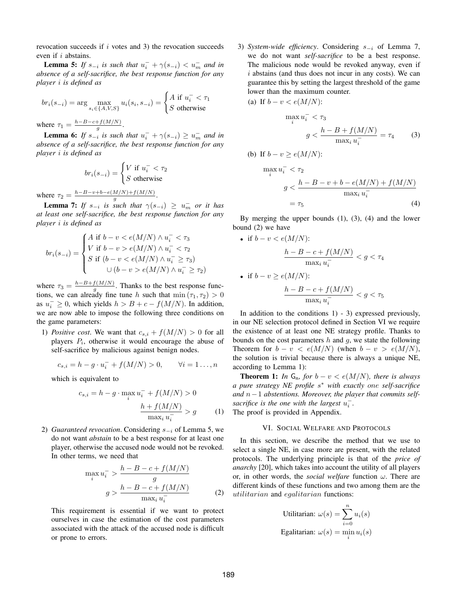revocation succeeds if  $i$  votes and 3) the revocation succeeds even if i abstains.

**Lemma 5:** *If*  $s_{-i}$  *is such that*  $u_i^+ + \gamma(s_{-i}) < u_m^-$  *and in absence of a self-sacrifice, the best response function for any player* i *is defined as*

$$
br_i(s_{-i}) = \arg\max_{s_i \in \{A, V, S\}} u_i(s_i, s_{-i}) = \begin{cases} A & \text{if } u_i^- < \tau_1 \\ S & \text{otherwise} \end{cases}
$$

where  $\tau_1 = \frac{h - B - c + f(M/N)}{q}$  $rac{H}{g}$ .

**Lemma 6:** If  $s_{-i}$  is such that  $u_i^- + \gamma(s_{-i}) \ge u_m^-$  and in *absence of a self-sacrifice, the best response function for any player* i *is defined as*

$$
br_i(s_{-i}) = \begin{cases} V \text{ if } u_i^- < \tau_2 \\ S \text{ otherwise} \end{cases}
$$

where  $\tau_2 = \frac{h-B-v+b-e(M/N)+f(M/N)}{q}$  $\frac{(M/N) + J(M/N)}{g}$ .

**Lemma 7:** If  $s_{-i}$  is such that  $\gamma(s_{-i}) \ge u_m^-$  or it has *at least one self-sacrifice, the best response function for any player* i *is defined as*

$$
br_i(s_{-i}) = \begin{cases} A \text{ if } b - v < e(M/N) \land u_i^- < \tau_3 \\ V \text{ if } b - v > e(M/N) \land u_i^- < \tau_2 \\ S \text{ if } (b - v < e(M/N) \land u_i^- \ge \tau_3) \\ \cup (b - v > e(M/N) \land u_i^- \ge \tau_2) \end{cases}
$$

where  $\tau_3 = \frac{h-B+f(M/N)}{q}$  $\frac{f(M/N)}{g}$ . Thanks to the best response functions, we can already fine tune h such that  $\min(\tau_1, \tau_2) > 0$ as  $u_i^-\geq 0$ , which yields  $h > B + c - f(M/N)$ . In addition, we are now able to impose the following three conditions on the game parameters:

1) *Positive cost*. We want that  $c_{s,i} + f(M/N) > 0$  for all players  $P_i$ , otherwise it would encourage the abuse of self-sacrifice by malicious against benign nodes.

$$
c_{s,i} = h - g \cdot u_i^- + f(M/N) > 0, \quad \forall i = 1..., n
$$

which is equivalent to

$$
c_{s,i} = h - g \cdot \max_{i} u_i^- + f(M/N) > 0
$$

$$
\frac{h + f(M/N)}{\max_i u_i^-} > g \tag{1}
$$

2) *Guaranteed revocation*. Considering  $s_{-i}$  of Lemma 5, we do not want *abstain* to be a best response for at least one player, otherwise the accused node would not be revoked. In other terms, we need that

$$
\max_{i} u_i^- > \frac{h - B - c + f(M/N)}{g}
$$

$$
g > \frac{h - B - c + f(M/N)}{\max_{i} u_i^-}
$$
(2)

This requirement is essential if we want to protect ourselves in case the estimation of the cost parameters associated with the attack of the accused node is difficult or prone to errors.

3) *System-wide efficiency*. Considering s−<sup>i</sup> of Lemma 7, we do not want *self-sacrifice* to be a best response. The malicious node would be revoked anyway, even if  $i$  abstains (and thus does not incur in any costs). We can guarantee this by setting the largest threshold of the game lower than the maximum counter.

(a) If  $b - v < e(M/N)$ :

(b) If  $b - v \geq e(M/N)$ :

$$
\max_{i} u_i^- < \tau_3
$$
  
 
$$
g < \frac{h - B + f(M/N)}{\max_i u_i^-} = \tau_4
$$
 (3)

$$
\max_{i} u_i^- < \tau_2
$$
\n
$$
g < \frac{h - B - v + b - e(M/N) + f(M/N)}{\max_i u_i^-}
$$
\n
$$
= \tau_5 \tag{4}
$$

By merging the upper bounds (1), (3), (4) and the lower bound (2) we have

\n- if 
$$
b - v < e(M/N)
$$
:\n
	\n- $\frac{h - B - c + f(M/N)}{\max_i u_i^-} < g < \tau_4$
	\n\n
\n- if  $b - v \geq e(M/N)$ :\n
	\n- $\frac{h - B - c + f(M/N)}{\max_i u_i^-} < g < \tau_5$
	\n\n
\n

In addition to the conditions  $1$ ) - 3) expressed previously, in our NE selection protocol defined in Section VI we require the existence of at least one NE strategy profile. Thanks to bounds on the cost parameters  $h$  and  $g$ , we state the following Theorem for  $b - v < e(M/N)$  (when  $b - v > e(M/N)$ , the solution is trivial because there is always a unique NE, according to Lemma 1):

**Theorem 1:** *In*  $G_n$ *, for*  $b - v < e(M/N)$ *, there is always a pure strategy NE profile* s <sup>∗</sup> *with exactly* one *self-sacrifice and* n−1 *abstentions. Moreover, the player that commits selfsacrifice is the one with the largest*  $u_i^-$ . The proof is provided in Appendix.

#### VI. SOCIAL WELFARE AND PROTOCOLS

In this section, we describe the method that we use to select a single NE, in case more are present, with the related protocols. The underlying principle is that of the *price of anarchy* [20], which takes into account the utility of all players or, in other words, the *social welfare* function ω. There are different kinds of these functions and two among them are the utilitarian and egalitarian functions:

Utilitarian: 
$$
\omega(s) = \sum_{i=0}^{n} u_i(s)
$$
  
Egalitarian:  $\omega(s) = \min_{i} u_i(s)$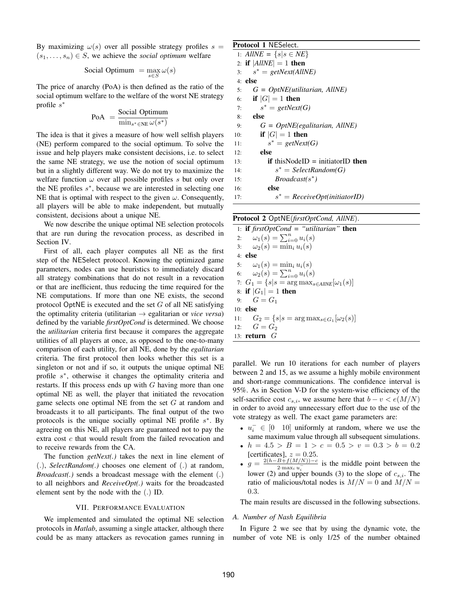By maximizing  $\omega(s)$  over all possible strategy profiles  $s =$  $(s_1, \ldots, s_n) \in S$ , we achieve the *social optimum* welfare

$$
Social\ Optimum = \max_{s \in S} \omega(s)
$$

The price of anarchy (PoA) is then defined as the ratio of the social optimum welfare to the welfare of the worst NE strategy profile  $s^*$ 

$$
\text{PoA} = \frac{\text{Social Optimum}}{\min_{s^* \in \text{NE}} \omega(s^*)}
$$

The idea is that it gives a measure of how well selfish players (NE) perform compared to the social optimum. To solve the issue and help players make consistent decisions, i.e. to select the same NE strategy, we use the notion of social optimum but in a slightly different way. We do not try to maximize the welfare function  $\omega$  over all possible profiles s but only over the NE profiles  $s^*$ , because we are interested in selecting one NE that is optimal with respect to the given  $\omega$ . Consequently, all players will be able to make independent, but mutually consistent, decisions about a unique NE.

We now describe the unique optimal NE selection protocols that are run during the revocation process, as described in Section IV.

First of all, each player computes all NE as the first step of the NESelect protocol. Knowing the optimized game parameters, nodes can use heuristics to immediately discard all strategy combinations that do not result in a revocation or that are inefficient, thus reducing the time required for the NE computations. If more than one NE exists, the second protocol OptNE is executed and the set  $G$  of all NE satisfying the optimality criteria (utilitarian  $\rightarrow$  egalitarian or *vice versa*) defined by the variable *firstOptCond* is determined. We choose the *utilitarian* criteria first because it compares the aggregate utilities of all players at once, as opposed to the one-to-many comparison of each utility, for all NE, done by the *egalitarian* criteria. The first protocol then looks whether this set is a singleton or not and if so, it outputs the unique optimal NE profile s<sup>\*</sup>, otherwise it changes the optimality criteria and restarts. If this process ends up with  $G$  having more than one optimal NE as well, the player that initiated the revocation game selects one optimal NE from the set  $G$  at random and broadcasts it to all participants. The final output of the two protocols is the unique socially optimal NE profile  $s^*$ . By agreeing on this NE, all players are guaranteed not to pay the extra cost c that would result from the failed revocation and to receive rewards from the CA.

The function *getNext(.)* takes the next in line element of (.), *SelectRandom(.)* chooses one element of (.) at random, *Broadcast(.)* sends a broadcast message with the element (.) to all neighbors and *ReceiveOpt(.)* waits for the broadcasted element sent by the node with the (.) ID.

#### VII. PERFORMANCE EVALUATION

We implemented and simulated the optimal NE selection protocols in *Matlab*, assuming a single attacker, although there could be as many attackers as revocation games running in

| <b>Protocol 1 NESelect.</b>                            |
|--------------------------------------------------------|
| 1: $AllNE = \{s   s \in NE\}$                          |
| 2: if $ AllNE  = 1$ then                               |
| $s^* = getNext(AllNE)$<br>3:                           |
| $4:$ else                                              |
| $G = OptNE(utilitarian, AllNE)$<br>5:                  |
| 6: <b>if</b> $ G  = 1$ then                            |
| $s^* = getNext(G)$<br>7:                               |
| else<br>8:                                             |
| $G = OptNE(equalitarian, AllNE)$<br>9:                 |
| if $ G =1$ then<br>10:                                 |
| $s^* = getNext(G)$<br>11:                              |
| else<br>12:                                            |
| <b>if</b> this NodeID = initiatorID <b>then</b><br>13: |
| $s^* = SelectRandom(G)$<br>14:                         |
| $Broadcast(s^*)$<br>15:                                |
| else<br>16:                                            |
| $s^* = \text{Received}$ pt(initiatorID)<br>17:         |
|                                                        |

# Protocol 2 OptNE(*firstOptCond, AllNE*).

1: if *firstOptCond = "utilitarian"* then 2:  $\omega_1(s) = \sum_{i=0}^n u_i(s)$ 3:  $\omega_2(s) = \min_i u_i(s)$ 4: else 5:  $\omega_1(s) = \min_i u_i(s)$ 6:  $\omega_2(s) = \sum_{i=0}^n u_i(s)$ 7:  $G_1 = \{s | s = \arg\max_{s \in \text{AllNE}} [\omega_1(s)]$ 8: if  $|G_1| = 1$  then 9:  $G = G_1$ 10: else 11:  $G_2 = \{s | s = \arg \max_{s \in G_1} [\omega_2(s)]\}$ 12:  $G = G_2$ 13: return G

parallel. We run 10 iterations for each number of players between 2 and 15, as we assume a highly mobile environment and short-range communications. The confidence interval is 95%. As in Section V-D for the system-wise efficiency of the self-sacrifice cost  $c_{s,i}$ , we assume here that  $b - v < e(M/N)$ in order to avoid any unnecessary effort due to the use of the vote strategy as well. The exact game parameters are:

- $u_i^- \in [0 \ 10]$  uniformly at random, where we use the same maximum value through all subsequent simulations.
- $h = 4.5 > B = 1 > c = 0.5 > v = 0.3 > b = 0.2$ [certificates],  $z = 0.25$ .
- $g = \frac{2(h-B+f(M/N))-c}{2m}$  $\frac{B+f(M/N))-c}{2 \max_i u_i}$  is the middle point between the lower (2) and upper bounds (3) to the slope of  $c_{s,i}$ . The ratio of malicious/total nodes is  $M/N = 0$  and  $M/N =$ 0.3.

The main results are discussed in the following subsections.

## *A. Number of Nash Equilibria*

In Figure 2 we see that by using the dynamic vote, the number of vote NE is only 1/25 of the number obtained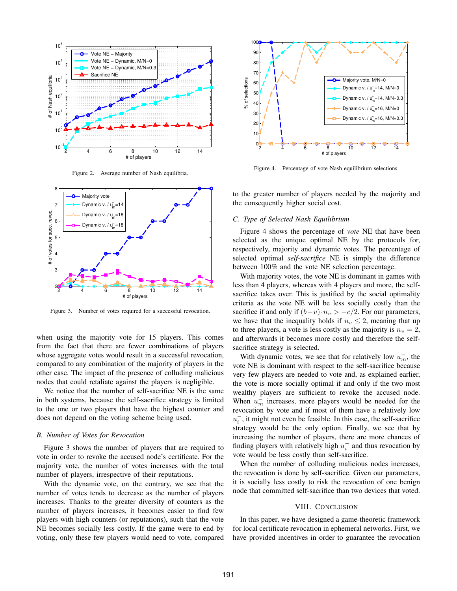

Figure 2. Average number of Nash equilibria.



Figure 3. Number of votes required for a successful revocation.

when using the majority vote for 15 players. This comes from the fact that there are fewer combinations of players whose aggregate votes would result in a successful revocation, compared to any combination of the majority of players in the other case. The impact of the presence of colluding malicious nodes that could retaliate against the players is negligible.

We notice that the number of self-sacrifice NE is the same in both systems, because the self-sacrifice strategy is limited to the one or two players that have the highest counter and does not depend on the voting scheme being used.

#### *B. Number of Votes for Revocation*

Figure 3 shows the number of players that are required to vote in order to revoke the accused node's certificate. For the majority vote, the number of votes increases with the total number of players, irrespective of their reputations.

With the dynamic vote, on the contrary, we see that the number of votes tends to decrease as the number of players increases. Thanks to the greater diversity of counters as the number of players increases, it becomes easier to find few players with high counters (or reputations), such that the vote NE becomes socially less costly. If the game were to end by voting, only these few players would need to vote, compared



Figure 4. Percentage of vote Nash equilibrium selections.

to the greater number of players needed by the majority and the consequently higher social cost.

#### *C. Type of Selected Nash Equilibrium*

Figure 4 shows the percentage of *vote* NE that have been selected as the unique optimal NE by the protocols for, respectively, majority and dynamic votes. The percentage of selected optimal *self-sacrifice* NE is simply the difference between 100% and the vote NE selection percentage.

With majority votes, the vote NE is dominant in games with less than 4 players, whereas with 4 players and more, the selfsacrifice takes over. This is justified by the social optimality criteria as the vote NE will be less socially costly than the sacrifice if and only if  $(b-v)\cdot n_v > -c/2$ . For our parameters, we have that the inequality holds if  $n_v \leq 2$ , meaning that up to three players, a vote is less costly as the majority is  $n_v = 2$ , and afterwards it becomes more costly and therefore the selfsacrifice strategy is selected.

With dynamic votes, we see that for relatively low  $u_m^-$ , the vote NE is dominant with respect to the self-sacrifice because very few players are needed to vote and, as explained earlier, the vote is more socially optimal if and only if the two most wealthy players are sufficient to revoke the accused node. When  $u_m^-$  increases, more players would be needed for the revocation by vote and if most of them have a relatively low  $u_i^-$ , it might not even be feasible. In this case, the self-sacrifice strategy would be the only option. Finally, we see that by increasing the number of players, there are more chances of finding players with relatively high  $u_i^-$  and thus revocation by vote would be less costly than self-sacrifice.

When the number of colluding malicious nodes increases, the revocation is done by self-sacrifice. Given our parameters, it is socially less costly to risk the revocation of one benign node that committed self-sacrifice than two devices that voted.

## VIII. CONCLUSION

In this paper, we have designed a game-theoretic framework for local certificate revocation in ephemeral networks. First, we have provided incentives in order to guarantee the revocation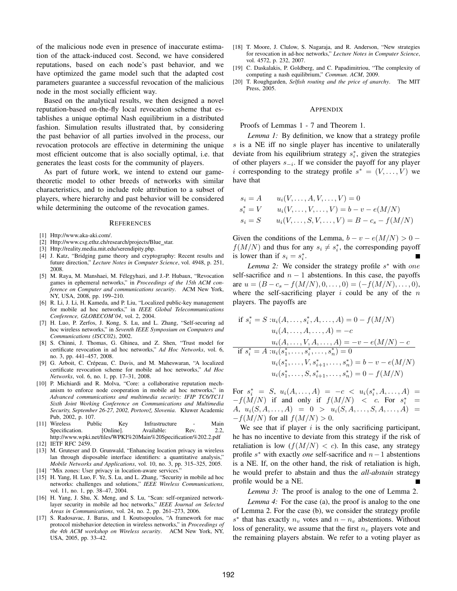of the malicious node even in presence of inaccurate estimation of the attack-induced cost. Second, we have considered reputations, based on each node's past behavior, and we have optimized the game model such that the adapted cost parameters guarantee a successful revocation of the malicious node in the most socially efficient way.

Based on the analytical results, we then designed a novel reputation-based on-the-fly local revocation scheme that establishes a unique optimal Nash equilibrium in a distributed fashion. Simulation results illustrated that, by considering the past behavior of all parties involved in the process, our revocation protocols are effective in determining the unique most efficient outcome that is also socially optimal, i.e. that generates the least costs for the community of players.

As part of future work, we intend to extend our gametheoretic model to other breeds of networks with similar characteristics, and to include role attribution to a subset of players, where hierarchy and past behavior will be considered while determining the outcome of the revocation games.

#### **REFERENCES**

- [1] Http://www.aka-aki.com/.
- [2] Http://www.csg.ethz.ch/research/projects/Blue\_star.
- [3] Http://reality.media.mit.edu/serendipity.php.
- [4] J. Katz, "Bridging game theory and cryptography: Recent results and future direction," *Lecture Notes in Computer Science*, vol. 4948, p. 251, 2008.
- [5] M. Raya, M. Manshaei, M. Félegyhazi, and J.-P. Hubaux, "Revocation games in ephemeral networks," in *Proceedings of the 15th ACM conference on Computer and communications security*. ACM New York, NY, USA, 2008, pp. 199–210.
- [6] R. Li, J. Li, H. Kameda, and P. Liu, "Localized public-key management for mobile ad hoc networks," in *IEEE Global Telecommunications Conference, GLOBECOM'04*, vol. 2, 2004.
- [7] H. Luo, P. Zerfos, J. Kong, S. Lu, and L. Zhang, "Self-securing ad hoc wireless networks," in *Seventh IEEE Symposium on Computers and Communications (ISCC02)*, 2002.
- [8] S. Chinni, J. Thomas, G. Ghinea, and Z. Shen, "Trust model for certificate revocation in ad hoc networks," *Ad Hoc Networks*, vol. 6, no. 3, pp. 441–457, 2008.
- [9] G. Arboit, C. Crépeau, C. Davis, and M. Maheswaran, "A localized certificate revocation scheme for mobile ad hoc networks," *Ad Hoc Networks*, vol. 6, no. 1, pp. 17–31, 2008.
- [10] P. Michiardi and R. Molva, "Core: a collaborative reputation mechanism to enforce node cooperation in mobile ad hoc networks," in *Advanced communications and multimedia security: IFIP TC6/TC11 Sixth Joint Working Conference on Communications and Multimedia Security, September 26-27, 2002, Portoroz, Slovenia ˇ* . Kluwer Academic Pub, 2002, p. 107.
- [11] Wireless Public Key Infrastructure Main Specification. http://www.wpki.net/files/WPKI%20Main%20Specification%202.2.pdf [12] IETF RFC 2459.
- [13] M. Gruteser and D. Grunwald, "Enhancing location privacy in wireless lan through disposable interface identifiers: a quantitative analysis," *Mobile Networks and Applications*, vol. 10, no. 3, pp. 315–325, 2005. [14] "Mix zones: User privacy in location-aware services."
- 
- [15] H. Yang, H. Luo, F. Ye, S. Lu, and L. Zhang, "Security in mobile ad hoc networks: challenges and solutions," *IEEE Wireless Communications*, vol. 11, no. 1, pp. 38–47, 2004.
- [16] H. Yang, J. Shu, X. Meng, and S. Lu, "Scan: self-organized networklayer security in mobile ad hoc networks," *IEEE Journal on Selected Areas in Communications*, vol. 24, no. 2, pp. 261–273, 2006.
- [17] S. Radosavac, J. Baras, and I. Koutsopoulos, "A framework for mac protocol misbehavior detection in wireless networks," in *Proceedings of the 4th ACM workshop on Wireless security*. ACM New York, NY, USA, 2005, pp. 33–42.
- [18] T. Moore, J. Clulow, S. Nagaraja, and R. Anderson, "New strategies for revocation in ad-hoc networks," *Lecture Notes in Computer Science*, vol. 4572, p. 232, 2007.
- [19] C. Daskalakis, P. Goldberg, and C. Papadimitriou, "The complexity of computing a nash equilibrium," *Commun. ACM*, 2009.
- [20] T. Roughgarden, *Selfish routing and the price of anarchy*. The MIT Press, 2005.

#### APPENDIX

Proofs of Lemmas 1 - 7 and Theorem 1.

*Lemma 1:* By definition, we know that a strategy profile s is a NE iff no single player has incentive to unilaterally deviate from his equilibrium strategy  $s_i^*$ , given the strategies of other players  $s_{-i}$ . If we consider the payoff for any player *i* corresponding to the strategy profile  $s^* = (V, \dots, V)$  we have that

$$
s_i = A \qquad u_i(V, \dots, A, V, \dots, V) = 0
$$
  
\n
$$
s_i^* = V \qquad u_i(V, \dots, V, \dots, V) = b - v - e(M/N)
$$
  
\n
$$
s_i = S \qquad u_i(V, \dots, S, V, \dots, V) = B - c_s - f(M/N)
$$

Given the conditions of the Lemma,  $b - v - e(M/N) > 0$  –  $f(M/N)$  and thus for any  $s_i \neq s_i^*$ , the corresponding payoff is lower than if  $s_i = s_i^*$ .

Lemma 2: We consider the strategy profile  $s^*$  with one self-sacrifice and  $n - 1$  abstentions. In this case, the payoffs are  $u = (B - c_s - f(M/N), 0, \dots, 0) = (-f(M/N), \dots, 0),$ where the self-sacrificing player i could be any of the  $n$ players. The payoffs are

if 
$$
s_i^* = S : u_i(A, ..., s_i^*, A, ..., A) = 0 - f(M/N)
$$
  
\n $u_i(A, ..., A, ..., A) = -c$   
\n $u_i(A, ..., V, A, ..., A) = -v - e(M/N) - c$   
\nif  $s_i^* = A : u_i(s_1^*, ..., s_i^*, ..., s_n^*) = 0$   
\n $u_i(s_1^*, ..., V, s_{i+1}^*, ..., s_n^*) = b - v - e(M/N)$   
\n $u_i(s_1^*, ..., S, s_{i+1}^*, ..., s_n^*) = 0 - f(M/N)$ 

For  $s_i^* = S$ ,  $u_i(A, ..., A) = -c < u_i(s_i^*, A, ..., A) =$  $-f(M/N)$  if and only if  $f(M/N) < c$ . For  $s_i^* =$ A,  $u_i(S, A, \ldots, A) = 0 > u_i(S, A, \ldots, S, A, \ldots, A) =$  $-f(M/N)$  for all  $f(M/N) > 0$ .

We see that if player  $i$  is the only sacrificing participant, he has no incentive to deviate from this strategy if the risk of retaliation is low  $(f(M/N) < c)$ . In this case, any strategy profile s <sup>∗</sup> with exactly *one* self-sacrifice and n−1 abstentions is a NE. If, on the other hand, the risk of retaliation is high, he would prefer to abstain and thus the *all-abstain* strategy profile would be a NE.

*Lemma 3:* The proof is analog to the one of Lemma 2.

*Lemma 4:* For the case (a), the proof is analog to the one of Lemma 2. For the case (b), we consider the strategy profile s<sup>\*</sup> that has exactly  $n_v$  votes and  $n - n_v$  abstentions. Without loss of generality, we assume that the first  $n_v$  players vote and the remaining players abstain. We refer to a voting player as